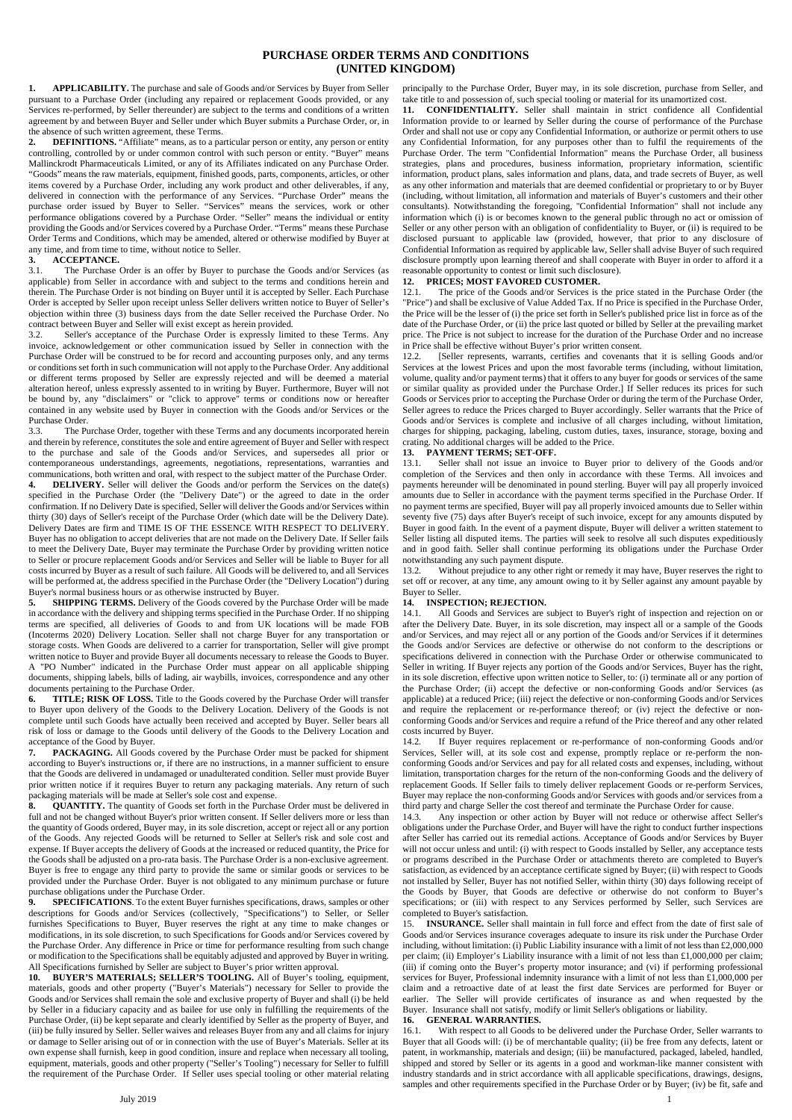### **PURCHASE ORDER TERMS AND CONDITIONS (UNITED KINGDOM)**

**1. APPLICABILITY.** The purchase and sale of Goods and/or Services by Buyer from Seller pursuant to a Purchase Order (including any repaired or replacement Goods provided, or any Services re-performed, by Seller thereunder) are subject to the terms and conditions of a written agreement by and between Buyer and Seller under which Buyer submits a Purchase Order, or, in the absence of such written agreement, these Terms.<br>2. **DEFINITIONS**, "Affiliate" means as to a pa

**2. DEFINITIONS.** "Affiliate" means, as to a particular person or entity, any person or entity controlling, controlled by or under common control with such person or entity. "Buyer" means Mallinckrodt Pharmaceuticals Limited, or any of its Affiliates indicated on any Purchase Order. "Goods" means the raw materials, equipment, finished goods, parts, components, articles, or other items covered by a Purchase Order, including any work product and other deliverables, if any, delivered in connection with the performance of any Services. "Purchase Order" means the purchase order issued by Buyer to Seller. "Services" means the services, work or other performance obligations covered by a Purchase Order. "Seller" means the individual or entity providing the Goods and/or Services covered by a Purchase Order. "Terms" means these Purchase Order Terms and Conditions, which may be amended, altered or otherwise modified by Buyer at any time, and from time to time, without notice to Seller.

# **3.1. ACCEPTANCE.**<br> **3.1. The Purchase**

The Purchase Order is an offer by Buyer to purchase the Goods and/or Services (as applicable) from Seller in accordance with and subject to the terms and conditions herein and therein. The Purchase Order is not binding on Buyer until it is accepted by Seller. Each Purchase Order is accepted by Seller upon receipt unless Seller delivers written notice to Buyer of Seller's objection within three (3) business days from the date Seller received the Purchase Order. No contract between Buyer and Seller will exist except as herein provided.

3.2. Seller's acceptance of the Purchase Order is expressly limited to these Terms. Any invoice, acknowledgement or other communication issued by Seller in connection with the Purchase Order will be construed to be for record and accounting purposes only, and any terms or conditions set forth in such communication will not apply to the Purchase Order. Any additional or different terms proposed by Seller are expressly rejected and will be deemed a material alteration hereof, unless expressly assented to in writing by Buyer. Furthermore, Buyer will not be bound by, any "disclaimers" or "click to approve" terms or conditions now or hereafter contained in any website used by Buyer in connection with the Goods and/or Services or the Purchase Order.

3.3. The Purchase Order, together with these Terms and any documents incorporated herein and therein by reference, constitutes the sole and entire agreement of Buyer and Seller with respect to the purchase and sale of the Goods and/or Services, and supersedes all prior or contemporaneous understandings, agreements, negotiations, representations, warranties and communications, both written and oral, with respect to the subject matter of the Purchase Order.

**DELIVERY.** Seller will deliver the Goods and/or perform the Services on the date(s) specified in the Purchase Order (the "Delivery Date") or the agreed to date in the order confirmation. If no Delivery Date is specified, Seller will deliver the Goods and/or Services within thirty (30) days of Seller's receipt of the Purchase Order (which date will be the Delivery Date). Delivery Dates are firm and TIME IS OF THE ESSENCE WITH RESPECT TO DELIVERY. Buyer has no obligation to accept deliveries that are not made on the Delivery Date. If Seller fails to meet the Delivery Date, Buyer may terminate the Purchase Order by providing written notice to Seller or procure replacement Goods and/or Services and Seller will be liable to Buyer for all costs incurred by Buyer as a result of such failure. All Goods will be delivered to, and all Services will be performed at, the address specified in the Purchase Order (the "Delivery Location") during Buyer's normal business hours or as otherwise instructed by Buyer.

**5. SHIPPING TERMS.** Delivery of the Goods covered by the Purchase Order will be made in accordance with the delivery and shipping terms specified in the Purchase Order. If no shipping terms are specified, all deliveries of Goods to and from UK locations will be made FOB (Incoterms 2020) Delivery Location. Seller shall not charge Buyer for any transportation or storage costs. When Goods are delivered to a carrier for transportation, Seller will give prompt written notice to Buyer and provide Buyer all documents necessary to release the Goods to Buyer. A "PO Number" indicated in the Purchase Order must appear on all applicable shipping documents, shipping labels, bills of lading, air waybills, invoices, correspondence and any other documents pertaining to the Purchase Order.

**6. TITLE; RISK OF LOSS.** Title to the Goods covered by the Purchase Order will transfer to Buyer upon delivery of the Goods to the Delivery Location. Delivery of the Goods is not complete until such Goods have actually been received and accepted by Buyer. Seller bears all risk of loss or damage to the Goods until delivery of the Goods to the Delivery Location and acceptance of the Good by Buyer.<br>7. **PACKAGING.** All Goods

**7. PACKAGING.** All Goods covered by the Purchase Order must be packed for shipment according to Buyer's instructions or, if there are no instructions, in a manner sufficient to ensure that the Goods are delivered in undamaged or unadulterated condition. Seller must provide Buyer prior written notice if it requires Buyer to return any packaging materials. Any return of such packaging materials will be made at Seller's sole cost and expense.

**8. QUANTITY.** The quantity of Goods set forth in the Purchase Order must be delivered in full and not be changed without Buyer's prior written consent. If Seller delivers more or less than the quantity of Goods ordered, Buyer may, in its sole discretion, accept or reject all or any portion of the Goods. Any rejected Goods will be returned to Seller at Seller's risk and sole cost and expense. If Buyer accepts the delivery of Goods at the increased or reduced quantity, the Price for the Goods shall be adjusted on a pro-rata basis. The Purchase Order is a non-exclusive agreement. Buyer is free to engage any third party to provide the same or similar goods or services to be provided under the Purchase Order. Buyer is not obligated to any minimum purchase or future purchase obligations under the Purchase Order.

**9. SPECIFICATIONS**. To the extent Buyer furnishes specifications, draws, samples or other descriptions for Goods and/or Services (collectively, "Specifications") to Seller, or Seller furnishes Specifications to Buyer, Buyer reserves the right at any time to make changes or modifications, in its sole discretion, to such Specifications for Goods and/or Services covered by the Purchase Order. Any difference in Price or time for performance resulting from such change or modification to the Specifications shall be equitably adjusted and approved by Buyer in writing. All Specifications furnished by Seller are subject to Buyer's prior written approval.<br> **10.** BUYER'S MATERIALS: SELLER'S TOOLING. All of Buyer's tooling

**10. BUYER'S MATERIALS; SELLER'S TOOLING.** All of Buyer's tooling, equipment, materials, goods and other property ("Buyer's Materials") necessary for Seller to provide the Goods and/or Services shall remain the sole and exclusive property of Buyer and shall (i) be held by Seller in a fiduciary capacity and as bailee for use only in fulfilling the requirements of the Purchase Order, (ii) be kept separate and clearly identified by Seller as the property of Buyer, and (iii) be fully insured by Seller. Seller waives and releases Buyer from any and all claims for injury or damage to Seller arising out of or in connection with the use of Buyer's Materials. Seller at its own expense shall furnish, keep in good condition, insure and replace when necessary all tooling, equipment, materials, goods and other property ("Seller's Tooling") necessary for Seller to fulfill the requirement of the Purchase Order. If Seller uses special tooling or other material relating

**11. CONFIDENTIALITY.** Seller shall maintain in strict confidence all Confidential Information provide to or learned by Seller during the course of performance of the Purchase Order and shall not use or copy any Confidential Information, or authorize or permit others to use any Confidential Information, for any purposes other than to fulfil the requirements of the Purchase Order. The term "Confidential Information" means the Purchase Order, all business strategies, plans and procedures, business information, proprietary information, scientific information, product plans, sales information and plans, data, and trade secrets of Buyer, as well as any other information and materials that are deemed confidential or proprietary to or by Buyer (including, without limitation, all information and materials of Buyer's customers and their other consultants). Notwithstanding the foregoing, "Confidential Information" shall not include any information which (i) is or becomes known to the general public through no act or omission of Seller or any other person with an obligation of confidentiality to Buyer, or (ii) is required to be disclosed pursuant to applicable law (provided, however, that prior to any disclosure of Confidential Information as required by applicable law, Seller shall advise Buyer of such required disclosure promptly upon learning thereof and shall cooperate with Buyer in order to afford it a reasonable opportunity to contest or limit such disclosure).

#### **12. PRICES; MOST FAVORED CUSTOMER.**

12.1. The price of the Goods and/or Services is the price stated in the Purchase Order (the "Price") and shall be exclusive of Value Added Tax. If no Price is specified in the Purchase Order, the Price will be the lesser of (i) the price set forth in Seller's published price list in force as of the date of the Purchase Order, or (ii) the price last quoted or billed by Seller at the prevailing market price. The Price is not subject to increase for the duration of the Purchase Order and no increase in Price shall be effective without Buyer's prior written consent.

12.2. [Seller represents, warrants, certifies and covenants that it is selling Goods and/or Services at the lowest Prices and upon the most favorable terms (including, without limitation, volume, quality and/or payment terms) that it offers to any buyer for goods or services of the same or similar quality as provided under the Purchase Order.] If Seller reduces its prices for such Goods or Services prior to accepting the Purchase Order or during the term of the Purchase Order, Seller agrees to reduce the Prices charged to Buyer accordingly. Seller warrants that the Price of Goods and/or Services is complete and inclusive of all charges including, without limitation, charges for shipping, packaging, labeling, custom duties, taxes, insurance, storage, boxing and crating. No additional charges will be added to the Price.

# **13. PAYMENT TERMS; SET-OFF.**<br>13.1 Seller shall not issue an invo

Seller shall not issue an invoice to Buyer prior to delivery of the Goods and/or completion of the Services and then only in accordance with these Terms. All invoices and payments hereunder will be denominated in pound sterling. Buyer will pay all properly invoiced amounts due to Seller in accordance with the payment terms specified in the Purchase Order. If no payment terms are specified, Buyer will pay all properly invoiced amounts due to Seller within seventy five (75) days after Buyer's receipt of such invoice, except for any amounts disputed by Buyer in good faith. In the event of a payment dispute, Buyer will deliver a written statement to Seller listing all disputed items. The parties will seek to resolve all such disputes expeditiously and in good faith. Seller shall continue performing its obligations under the Purchase Order notwithstanding any such payment dispute.

13.2. Without prejudice to any other right or remedy it may have, Buyer reserves the right to set off or recover, at any time, any amount owing to it by Seller against any amount payable by Buyer to Seller.

#### **14. INSPECTION; REJECTION.**

14.1. All Goods and Services are subject to Buyer's right of inspection and rejection on or after the Delivery Date. Buyer, in its sole discretion, may inspect all or a sample of the Goods and/or Services, and may reject all or any portion of the Goods and/or Services if it determines the Goods and/or Services are defective or otherwise do not conform to the descriptions or specifications delivered in connection with the Purchase Order or otherwise communicated to Seller in writing. If Buyer rejects any portion of the Goods and/or Services, Buyer has the right, in its sole discretion, effective upon written notice to Seller, to: (i) terminate all or any portion of the Purchase Order; (ii) accept the defective or non-conforming Goods and/or Services (as applicable) at a reduced Price; (iii) reject the defective or non-conforming Goods and/or Services and require the replacement or re-performance thereof; or (iv) reject the defective or nonconforming Goods and/or Services and require a refund of the Price thereof and any other related costs incurred by Buyer.

14.2. If Buyer requires replacement or re-performance of non-conforming Goods and/or Services, Seller will, at its sole cost and expense, promptly replace or re-perform the nonconforming Goods and/or Services and pay for all related costs and expenses, including, without limitation, transportation charges for the return of the non-conforming Goods and the delivery of replacement Goods. If Seller fails to timely deliver replacement Goods or re-perform Services, Buyer may replace the non-conforming Goods and/or Services with goods and/or services from a third party and charge Seller the cost thereof and terminate the Purchase Order for cause.

14.3. Any inspection or other action by Buyer will not reduce or otherwise affect Seller's obligations under the Purchase Order, and Buyer will have the right to conduct further inspections after Seller has carried out its remedial actions. Acceptance of Goods and/or Services by Buyer will not occur unless and until: (i) with respect to Goods installed by Seller, any acceptance tests or programs described in the Purchase Order or attachments thereto are completed to Buyer's satisfaction, as evidenced by an acceptance certificate signed by Buyer; (ii) with respect to Goods not installed by Seller, Buyer has not notified Seller, within thirty (30) days following receipt of the Goods by Buyer, that Goods are defective or otherwise do not conform to Buyer's specifications; or (iii) with respect to any Services performed by Seller, such Services are completed to Buyer's satisfaction.

15. **INSURANCE.** Seller shall maintain in full force and effect from the date of first sale of Goods and/or Services insurance coverages adequate to insure its risk under the Purchase Order including, without limitation: (i) Public Liability insurance with a limit of not less than £2,000,000 per claim; (ii) Employer's Liability insurance with a limit of not less than £1,000,000 per claim; (iii) if coming onto the Buyer's property motor insurance; and (vi) if performing professional services for Buyer, Professional indemnity insurance with a limit of not less than £1,000,000 per claim and a retroactive date of at least the first date Services are performed for Buyer or earlier. The Seller will provide certificates of insurance as and when requested by the Buyer. Insurance shall not satisfy, modify or limit Seller's obligations or liability.

#### **16. GENERAL WARRANTIES.**

16.1. With respect to all Goods to be delivered under the Purchase Order, Seller warrants to Buyer that all Goods will: (i) be of merchantable quality; (ii) be free from any defects, latent or patent, in workmanship, materials and design; (iii) be manufactured, packaged, labeled, handled, shipped and stored by Seller or its agents in a good and workman-like manner consistent with industry standards and in strict accordance with all applicable specifications, drawings, designs, samples and other requirements specified in the Purchase Order or by Buyer; (iv) be fit, safe and